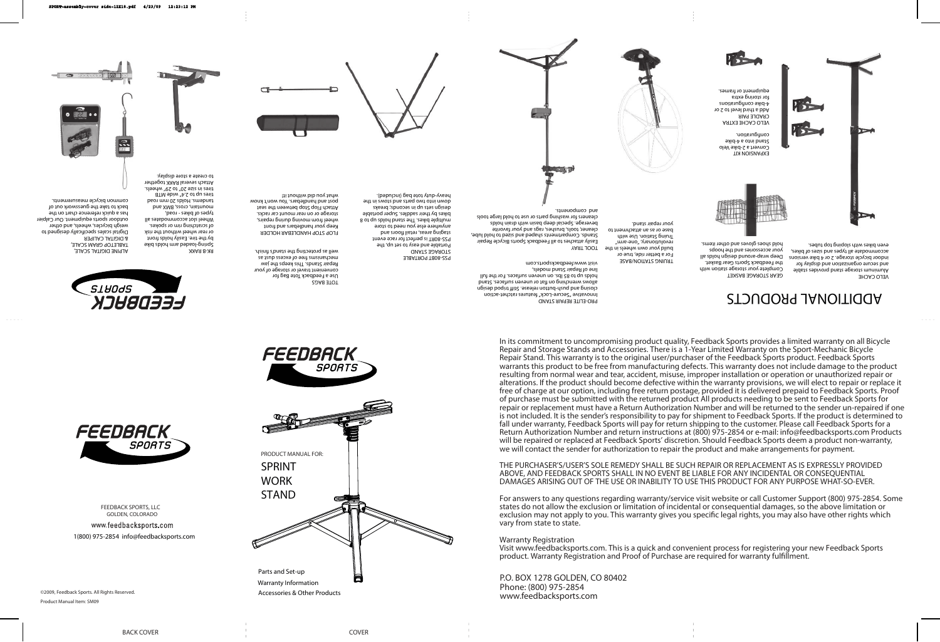**FEEDBACK SPORTS, LLC** GOLDEN, COLORADO

1(800) 975-2854 info@feedbacksports.com www.feedbacksports.com



In its commitment to uncompromising product quality, Feedback Sports provides a limited warranty on all Bicycle Repair and Storage Stands and Accessories. There is a 1-Year Limited Warranty on the Sport-Mechanic Bicycle Repair Stand. This warranty is to the original user/purchaser of the Feedback Sports product. Feedback Sports warrants this product to be free from manufacturing defects. This warranty does not include damage to the product resulting from normal wear and tear, accident, misuse, improper installation or operation or unauthorized repair or alterations. If the product should become defective within the warranty provisions, we will elect to repair or replace it free of charge at our option, including free return postage, provided it is delivered prepaid to Feedback Sports. Proof of purchase must be submitted with the returned product All products needing to be sent to Feedback Sports for repair or replacement must have a Return Authorization Number and will be returned to the sender un-repaired if one is not included. It is the sender's responsibility to pay for shipment to Feedback Sports. If the product is determined to fall under warranty, Feedback Sports will pay for return shipping to the customer. Please call Feedback Sports for a Return Authorization Number and return instructions at (800) 975-2854 or e-mail: info@feedbacksports.com Products will be repaired or replaced at Feedback Sports' discretion. Should Feedback Sports deem a product non-warranty, we will contact the sender for authorization to repair the product and make arrangements for payment.

**EXPANSION KIT**  Convert a 2-bike Velo Stand into a 4-bike configuration.





**VELO CACHE EXTRA CRADLE PAIR** Add a third level to 2 or 4-bike configurations for storing extra equipment or frames.

**PRO-ELITE REPAIR STAND** Innovative "Secure-Lock" features ratchet-action closing push-putton release<sup>.</sup> Stiff to push-but allows wrenching on flat or uneven surfaces. Stand holds up to 85 lbs. on uneven surfaces. For the full line of Repair Stand models, www.feedbacksports.com

> THE PURCHASER'S/USER'S SOLE REMEDY SHALL BE SUCH REPAIR OR REPLACEMENT AS IS EXPRESSLY PROVIDED ABOVE, AND FEEDBACK SPORTS SHALL IN NO EVENT BE LIABLE FOR ANY INCIDENTAL OR CONSEQUENTIAL DAMAGES ARISING OUT OF THE USE OR INABILITY TO USE THIS PRODUCT FOR ANY PURPOSE WHAT-SO-EVER.

For answers to any questions regarding warranty/service visit website or call Customer Support (800) 975-2854. Some states do not allow the exclusion or limitation of incidental or consequential damages, so the above limitation or exclusion may not apply to you. This warranty gives you specific legal rights, you may also have other rights which vary from state to state.

**Warranty Registration** Visit www.feedbacksports.com. This is a quick and convenient process for registering your new Feedback Sports product. Warranty Registration and Proof of Purchase are required for warranty fulfillment.

P.O. BOX 1278 GOLDEN, CO 80402 Phone: (800) 975-2854

FEEDBACK SPORTS

Product Manual Item: SM09



**GEAR STORAGE BASKET** Complete your storage station with the Feedback Sports Gear Basket. Deep wrap-around design holds all your accessories and the hoops hold shoes gloves and other items.

**TRUING STATION/BASE** For a better ride, true or build your own wheels in the revolutionary, "one-arm" Truing Station. Use with base or as an attachment to your repair stand.

**VELO CACHE**

Aluminum storage stand provides stable and secure organization and display for indoor bicycle storage. 2 or 4 bike versions accommodate all types and sizes of bikes, even bikes with sloping top tubes.



**TOOL TRAY** Easily attaches to all Feedback Sports Bicycle Repair Stands. Compartments shaped and though the search to hold lube, cleaner, tools, brushes, rags and your favorite beverage. Special deep basin with drain holds cleaners for washing parts or use to hold large tools



**TOTE BAGS** Use a Feedback Tote Bag for convenient travel or storage of your Repair Stands. This keeps the jaw mechanisms free of excess dust as well as protecting the stand's finish.



**PSS-80BT PORTABLE STORAGE STAND** Portable and easy to set up, the PSS-80RT is perfect for race event staging areas, retail floors and anywhere else you need to store multiple bikes. The stand holds by to 8 bikes by their saddles. Super portable design sets ni du stas up is a set out in two parts and own or in two parts and the story in the heavy-duty tote bag (included).

**FLOP STOP HANDLEBAR HOLDER** Keep your handlebars and front wheel from moving during repairs, storage or on rear mount car racks. Attach Flop Stop between the seat post and handlebars. You won't know what you alo motiou it!

**ALPINE DIGITAL SCALE, TABLETOP GRAM SCALE, & DIGITAL CALIPER** Digital scales specifically designed to weigh bicycles, wheels, and other outdoor sports equipment. Our Calpier has a quick reference chart on the back to take the guesswork out of common bicycle measurements.



**RK-B RAKK** Spring-loaded arm holds bike by the tire. Easily holds front or rear wheel without the risk of scratching rim or spokes. Wheel slot accommodates all types of bikes - road, pue XMa 'sson 'uistunom tandems. Holds 20 mm road tires up to 2.4" wide MTB tires in size 20" to 29" wheels. Attach several RAKK together to create a store display.

# **ADDITIONAL PRODUCTS**